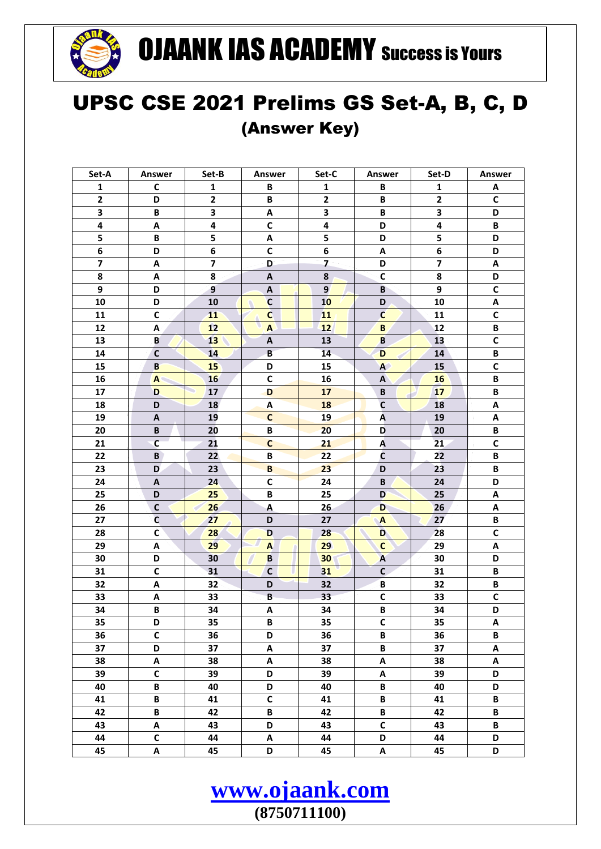

## **OJAANK IAS ACADEMY Success is Yours**

## UPSC CSE 2021 Prelims GS Set-A, B, C, D (Answer Key)

| Set-A                   | Answer       | Set-B                   | <b>Answer</b>             | Set-C                   | Answer           | Set-D                   | Answer                    |
|-------------------------|--------------|-------------------------|---------------------------|-------------------------|------------------|-------------------------|---------------------------|
| $\mathbf{1}$            | C            | 1                       | В                         | 1                       | В                | 1                       | Α                         |
| $\mathbf{2}$            | D            | $\mathbf{2}$            | В                         | $\mathbf{2}$            | В                | $\overline{2}$          | $\mathsf{C}$              |
| 3                       | В            | 3                       | Α                         | 3                       | В                | 3                       | D                         |
| 4                       | Α            | 4                       | $\mathsf{C}$              | 4                       | D                | 4                       | В                         |
| 5                       | В            | 5                       | Α                         | 5                       | D                | 5                       | D                         |
| 6                       | D            | 6                       | $\mathsf{C}$              | 6                       | Α                | 6                       | D                         |
| $\overline{\mathbf{z}}$ | Α            | $\overline{\mathbf{z}}$ | D                         | $\overline{\mathbf{z}}$ | D                | $\overline{\mathbf{z}}$ | Α                         |
| 8                       | Α            | 8                       | A                         | 8                       | $\mathsf{C}$     | 8                       | D                         |
| 9                       | D            | 9                       | Α                         | 9                       | B                | 9                       | $\mathbf C$               |
| 10                      | D            | 10                      | $\mathbf c$               | 10                      | D                | 10                      | A                         |
| 11                      | $\mathsf{C}$ | 11                      | Ċ                         | 11                      | $\mathbf{C}$     | 11                      | $\mathsf{C}$              |
| 12                      | Α            | 12                      | $\mathbf{A}$              | 12                      | B                | 12                      | B                         |
| 13                      | B            | 13                      | $\boldsymbol{\mathsf{A}}$ | 13                      | B                | 13                      | $\mathsf{C}$              |
| 14                      | $\mathsf{C}$ | 14                      | B                         | 14                      | D                | 14                      | B                         |
| 15                      | $\mathbf{B}$ | 15                      | D                         | 15                      | A                | 15                      | $\mathbf c$               |
| 16                      | ${\bf A}$    | 16                      | $\mathsf{C}$              | 16                      | A                | 16                      | В                         |
| 17                      | D            | 17                      | D                         | 17                      | B                | 17                      | B                         |
| 18                      | D            | 18                      | A                         | <b>18</b>               | $\mathsf{C}$     | 18                      | Α                         |
| 19                      | Α            | 19                      | $\mathsf{C}$              | 19                      | A                | 19                      | Α                         |
| 20                      | В            | 20                      | B                         | 20                      | D                | 20                      | В                         |
| 21                      | $\mathsf{C}$ | 21                      | $\mathbf c$               | 21                      | A                | 21                      | $\mathsf{C}$              |
| 22                      | B            | 22                      | В                         | 22                      | C                | 22                      | В                         |
| 23                      | D            | 23                      | B                         | 23                      | D                | 23                      | B                         |
| 24                      | Α            | 24                      | $\mathsf{C}$              | 24                      | B                | 24                      | D                         |
| 25                      | D            | 25                      | B                         | 25                      | D                | 25                      | $\boldsymbol{\mathsf{A}}$ |
| 26                      | $\mathsf{C}$ | 26                      | A                         | 26                      | D                | 26                      | Α                         |
| 27                      | $\mathsf{C}$ | 27                      | D                         | 27                      | $\blacktriangle$ | 27                      | B                         |
| 28                      | $\mathsf{C}$ | 28                      | D                         | 28                      | D                | 28                      | $\mathsf{C}$              |
| 29                      | Α            | 29                      | $\mathbf{A}$              | 29                      | $\mathbf{C}$     | 29                      | $\boldsymbol{\mathsf{A}}$ |
| 30                      | D            | 30                      | B                         | 30                      | $\overline{A}$   | 30                      | D                         |
| 31                      | $\mathsf{C}$ | 31                      | $\mathsf C$               | 31                      | $\mathsf{C}$     | 31                      | В                         |
| 32                      | Α            | 32                      | D                         | 32                      | В                | 32                      | В                         |
| 33                      | Α            | 33                      | B                         | 33                      | $\mathsf{C}$     | 33                      | $\mathbf C$               |
| 34                      | B            | 34                      | Α                         | 34                      | В                | 34                      | D                         |
| 35                      | D            | 35                      | В                         | 35                      | C                | 35                      | Α                         |
| 36                      | $\mathsf{C}$ | 36                      | D                         | 36                      | B                | 36                      | B                         |
| 37                      | D            | 37                      | Α                         | 37                      | B                | 37                      | Α                         |
| 38                      | A            | 38                      | A                         | 38                      | Α                | 38                      | $\boldsymbol{\mathsf{A}}$ |
| 39                      | $\mathsf{C}$ | 39                      | D                         | 39                      | A                | 39                      | D                         |
| 40                      | B            | 40                      | D                         | 40                      | B                | 40                      | D                         |
| 41                      | B            | 41                      | $\mathsf{C}$              | 41                      | B                | 41                      | $\, {\bf B}$              |
| 42                      | B            | 42                      | B                         | 42                      | $\, {\bf B} \,$  | 42                      | B                         |
| 43                      | A            | 43                      | D                         | 43                      | $\mathsf{C}$     | 43                      | $\, {\bf B}$              |
| 44                      | C            | 44                      | Α                         | 44                      | D                | 44                      | D                         |
| 45                      | Α            | 45                      | D                         | 45                      | Α                | 45                      | D                         |
|                         |              |                         |                           |                         |                  |                         |                           |

www.ojaank.com

 $(8750711100)$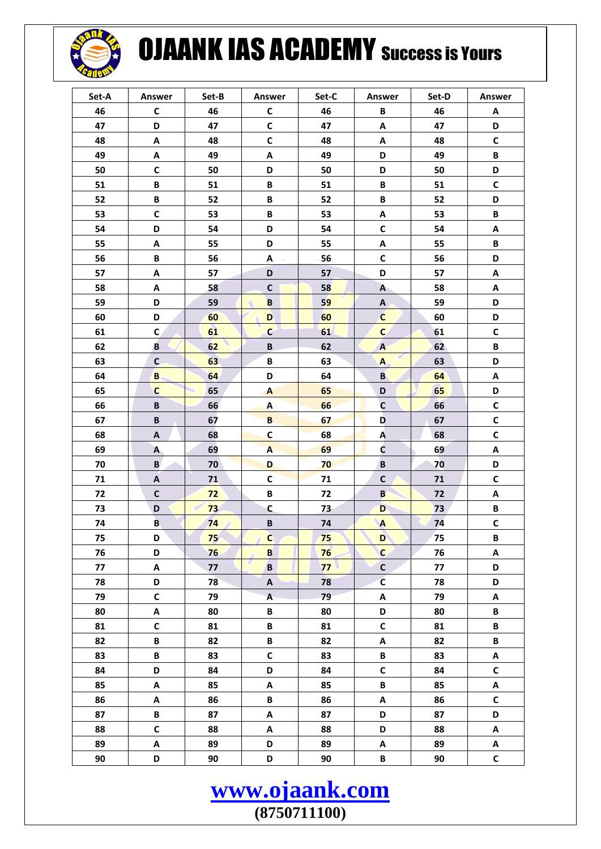

## **OJAANK IAS ACADEMY Success is Yours**

| Set-A | Answer                    | Set-B | Answer                  | Set-C        | Answer                    | Set-D | Answer                    |
|-------|---------------------------|-------|-------------------------|--------------|---------------------------|-------|---------------------------|
| 46    | $\mathsf{C}$              | 46    | $\mathsf{C}$            | 46           | B                         | 46    | Α                         |
| 47    | D                         | 47    | C                       | 47           | Α                         | 47    | D                         |
| 48    | A                         | 48    | $\mathsf{C}$            | 48           | A                         | 48    | $\mathsf{C}$              |
| 49    | A                         | 49    | A                       | 49           | D                         | 49    | B                         |
| 50    | C                         | 50    | D                       | 50           | D                         | 50    | D                         |
| 51    | B                         | 51    | B                       | 51           | B                         | 51    | $\mathsf{C}$              |
| 52    | B                         | 52    | B                       | 52           | B                         | 52    | D                         |
| 53    | $\mathsf{C}$              | 53    | B                       | 53           | A                         | 53    | В                         |
| 54    | D                         | 54    | D                       | 54           | $\mathsf{C}$              | 54    | Α                         |
| 55    | Α                         | 55    | D                       | 55           | Α                         | 55    | В                         |
| 56    | B                         | 56    | A                       | 56           | $\mathsf{C}$              | 56    | D                         |
| 57    | A                         | 57    | D                       | 57           | D                         | 57    | Α                         |
| 58    | A                         | 58    | $\mathsf{C}$            | 58           | $\mathbf{A}$              | 58    | Α                         |
| 59    | D                         | 59    | $\overline{\mathbf{B}}$ | 59           | A                         | 59    | D                         |
| 60    | D                         | 60    | D                       | 60           | Ć                         | 60    | D                         |
| 61    | $\mathbf{C}$              | 61    | $\mathbf c$             | 61           | $\mathbf{C}$              | 61    | $\mathsf{C}$              |
| 62    | B                         | 62    | $\, {\bf B}$            | 62           | $\mathbf{A}$              | 62    | B                         |
| 63    | $\mathsf{C}$              | 63    | B                       | 63           | $\mathbf{A}$              | 63    | D                         |
| 64    | B                         | 64    | D                       | 64           | B                         | 64    | Α                         |
| 65    | $\mathsf{C}$              | 65    | A                       | 65           | D                         | 65    | D                         |
| 66    | $\, {\bf B}$              | 66    | $\pmb{\mathsf{A}}$      | 66           | $\mathsf{C}$              | 66    | С                         |
| 67    | B                         | 67    | $\, {\bf B} \,$         | 67           | D                         | 67    | $\mathsf{C}$              |
| 68    | Α                         | 68    | $\mathbf c$             | 68           | Ą                         | 68    | С                         |
| 69    | A                         | 69    | $\overline{\mathsf{A}}$ | 69           | Ċ                         | 69    | Α                         |
| 70    | B                         | 70    | D                       | 70           | $\, {\bf B}$              | 70    | D                         |
| 71    | $\boldsymbol{\mathsf{A}}$ | 71    | $\mathsf{C}$            | 71           | $\mathsf{C}$              | 71    | $\mathsf{C}$              |
| 72    | $\mathbf C$               | 72    | B                       | 72           | $\mathbf{B}$              | 72    | Α                         |
| 73    | D                         | 73    | C                       | 73           | D                         | 73    | B                         |
| 74    | B                         | 74    | $\, {\bf B}$            | 74           | $\blacktriangle$          | 74    | $\mathsf{C}$              |
| 75    | D                         | 75    | $\mathbf c$             | 75           | Ď                         | 75    | В                         |
| 76    | D                         | 76    | B                       | 76           | $\mathsf{C}$              | 76    | Α                         |
| 77    | А                         | 77    | B                       | $77^{\circ}$ | $\mathsf{C}$              | 77    | D                         |
| 78    | D                         | 78    | A                       | 78           | $\overline{\mathsf{c}}$   | 78    | D                         |
| 79    | $\mathsf{C}$              | 79    | $\mathsf{A}$            | 79           | A                         | 79    | Α                         |
| 80    | A                         | 80    | B                       | 80           | D                         | 80    | B                         |
| 81    | $\mathsf{C}$              | 81    | B                       | 81           | $\mathsf{C}$              | 81    | B                         |
| 82    | B                         | 82    | B                       | 82           | A                         | 82    | B                         |
| 83    | B                         | 83    | $\mathsf{C}$            | 83           | B                         | 83    | $\boldsymbol{\mathsf{A}}$ |
| 84    | D                         | 84    | D                       | 84           | $\mathsf{C}$              | 84    | $\mathsf{C}$              |
| 85    | A                         | 85    | Α                       | 85           | B                         | 85    | Α                         |
| 86    | A                         | 86    | B                       | 86           | $\boldsymbol{\mathsf{A}}$ | 86    | $\mathsf c$               |
| 87    | B                         | 87    | Α                       | 87           | D                         | 87    | D                         |
| 88    | $\mathsf{C}$              | 88    | Α                       | 88           | D                         | 88    | $\boldsymbol{\mathsf{A}}$ |
| 89    | Α                         | 89    | D                       | 89           | Α                         | 89    | Α                         |
| 90    | D                         | 90    | D                       | 90           | B                         | 90    | $\mathsf{C}$              |

www.ojaank.com  $(8750711100)$